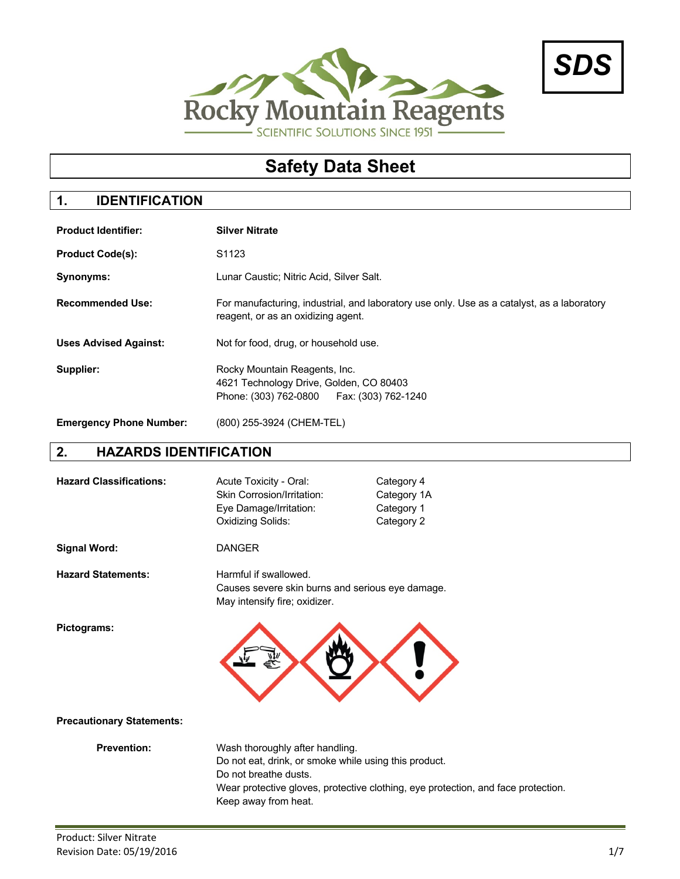



# **Safety Data Sheet**

# **1. IDENTIFICATION**

| <b>Product Identifier:</b>     | <b>Silver Nitrate</b>                                                                                                            |  |
|--------------------------------|----------------------------------------------------------------------------------------------------------------------------------|--|
| <b>Product Code(s):</b>        | S <sub>1123</sub>                                                                                                                |  |
| <b>Synonyms:</b>               | Lunar Caustic; Nitric Acid, Silver Salt.                                                                                         |  |
| <b>Recommended Use:</b>        | For manufacturing, industrial, and laboratory use only. Use as a catalyst, as a laboratory<br>reagent, or as an oxidizing agent. |  |
| <b>Uses Advised Against:</b>   | Not for food, drug, or household use.                                                                                            |  |
| Supplier:                      | Rocky Mountain Reagents, Inc.<br>4621 Technology Drive, Golden, CO 80403<br>Phone: (303) 762-0800   Fax: (303) 762-1240          |  |
| <b>Emergency Phone Number:</b> | (800) 255-3924 (CHEM-TEL)                                                                                                        |  |

# **2. HAZARDS IDENTIFICATION**

| <b>Hazard Classifications:</b>   | Acute Toxicity - Oral:<br>Skin Corrosion/Irritation:<br>Eye Damage/Irritation:<br>Oxidizing Solids:                                       | Category 4<br>Category 1A<br>Category 1<br>Category 2                             |
|----------------------------------|-------------------------------------------------------------------------------------------------------------------------------------------|-----------------------------------------------------------------------------------|
| <b>Signal Word:</b>              | <b>DANGER</b>                                                                                                                             |                                                                                   |
| <b>Hazard Statements:</b>        | Harmful if swallowed.<br>Causes severe skin burns and serious eye damage.<br>May intensify fire; oxidizer.                                |                                                                                   |
| Pictograms:                      |                                                                                                                                           |                                                                                   |
| <b>Precautionary Statements:</b> |                                                                                                                                           |                                                                                   |
| <b>Prevention:</b>               | Wash thoroughly after handling.<br>Do not eat, drink, or smoke while using this product.<br>Do not breathe dusts.<br>Keep away from heat. | Wear protective gloves, protective clothing, eye protection, and face protection. |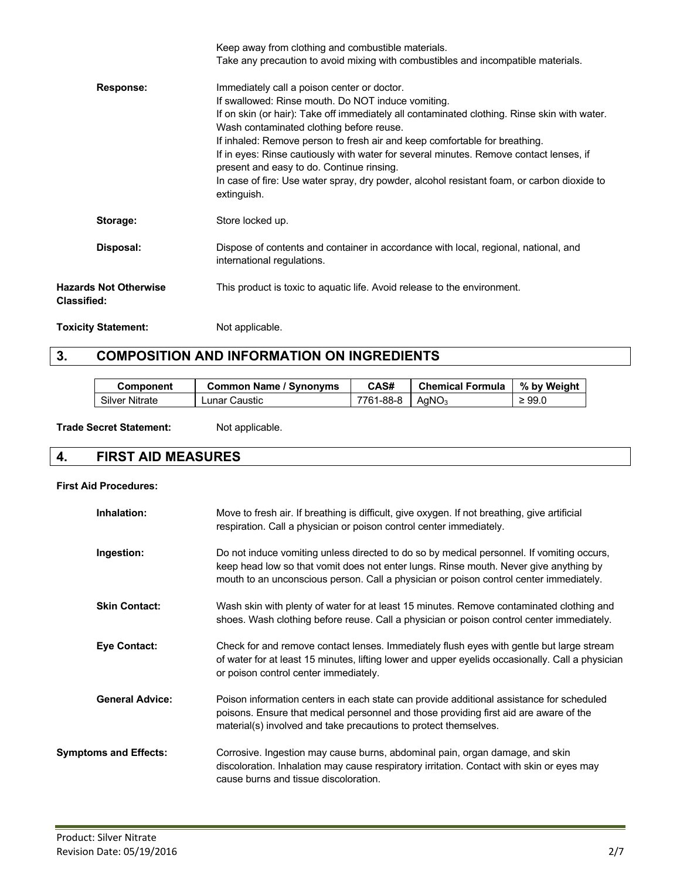|                                                    | Keep away from clothing and combustible materials.                                                                                       |
|----------------------------------------------------|------------------------------------------------------------------------------------------------------------------------------------------|
|                                                    | Take any precaution to avoid mixing with combustibles and incompatible materials.                                                        |
| Response:                                          | Immediately call a poison center or doctor.                                                                                              |
|                                                    | If swallowed: Rinse mouth. Do NOT induce vomiting.                                                                                       |
|                                                    | If on skin (or hair): Take off immediately all contaminated clothing. Rinse skin with water.<br>Wash contaminated clothing before reuse. |
|                                                    | If inhaled: Remove person to fresh air and keep comfortable for breathing.                                                               |
|                                                    | If in eyes: Rinse cautiously with water for several minutes. Remove contact lenses, if<br>present and easy to do. Continue rinsing.      |
|                                                    | In case of fire: Use water spray, dry powder, alcohol resistant foam, or carbon dioxide to<br>extinguish.                                |
| Storage:                                           | Store locked up.                                                                                                                         |
| Disposal:                                          | Dispose of contents and container in accordance with local, regional, national, and<br>international regulations.                        |
| <b>Hazards Not Otherwise</b><br><b>Classified:</b> | This product is toxic to aquatic life. Avoid release to the environment.                                                                 |
| <b>Toxicity Statement:</b>                         | Not applicable.                                                                                                                          |

# **3. COMPOSITION AND INFORMATION ON INGREDIENTS**

| Component             | <b>Common Name / Synonyms</b> | CAS#      | <b>Chemical Formula</b> | % by Weight |
|-----------------------|-------------------------------|-----------|-------------------------|-------------|
| <b>Silver Nitrate</b> | ∟unar Caustic                 | 7761-88-8 | AaNO <sub>3</sub>       | $\geq 99.0$ |

Trade Secret Statement: Not applicable.

# **4. FIRST AID MEASURES**

## **First Aid Procedures:**

| Inhalation:                  | Move to fresh air. If breathing is difficult, give oxygen. If not breathing, give artificial<br>respiration. Call a physician or poison control center immediately.                                                                                                          |
|------------------------------|------------------------------------------------------------------------------------------------------------------------------------------------------------------------------------------------------------------------------------------------------------------------------|
| Ingestion:                   | Do not induce vomiting unless directed to do so by medical personnel. If vomiting occurs,<br>keep head low so that vomit does not enter lungs. Rinse mouth. Never give anything by<br>mouth to an unconscious person. Call a physician or poison control center immediately. |
| <b>Skin Contact:</b>         | Wash skin with plenty of water for at least 15 minutes. Remove contaminated clothing and<br>shoes. Wash clothing before reuse. Call a physician or poison control center immediately.                                                                                        |
| <b>Eye Contact:</b>          | Check for and remove contact lenses. Immediately flush eyes with gentle but large stream<br>of water for at least 15 minutes, lifting lower and upper eyelids occasionally. Call a physician<br>or poison control center immediately.                                        |
| <b>General Advice:</b>       | Poison information centers in each state can provide additional assistance for scheduled<br>poisons. Ensure that medical personnel and those providing first aid are aware of the<br>material(s) involved and take precautions to protect themselves.                        |
| <b>Symptoms and Effects:</b> | Corrosive. Ingestion may cause burns, abdominal pain, organ damage, and skin<br>discoloration. Inhalation may cause respiratory irritation. Contact with skin or eyes may<br>cause burns and tissue discoloration.                                                           |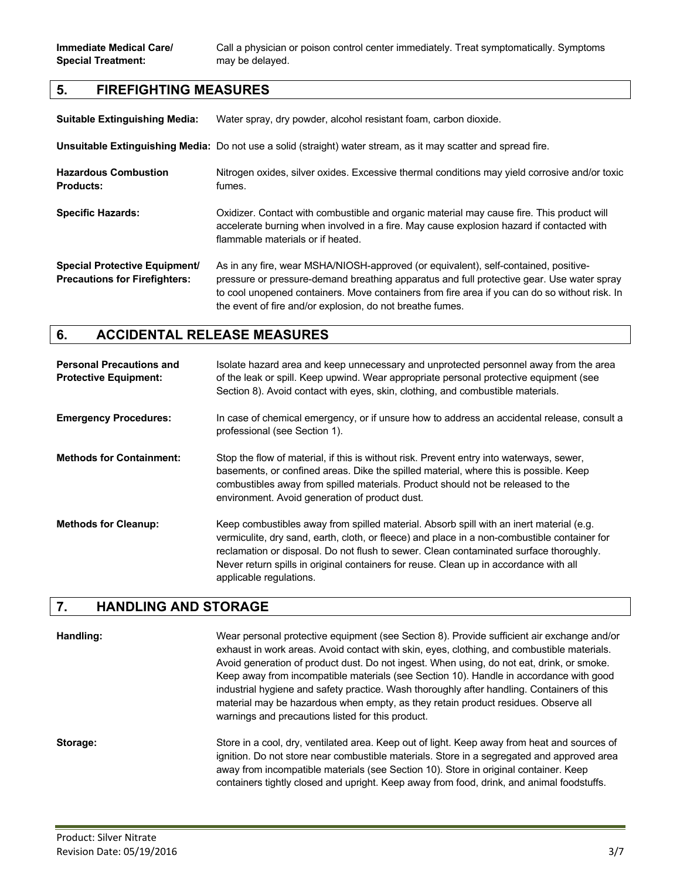**Immediate Medical Care/** Call a physician or poison control center immediately. Treat symptomatically. Symptoms

## **5. FIREFIGHTING MEASURES**

| <b>Suitable Extinguishing Media:</b>                                         | Water spray, dry powder, alcohol resistant foam, carbon dioxide.                                                                                                                                                                                                                                                                               |
|------------------------------------------------------------------------------|------------------------------------------------------------------------------------------------------------------------------------------------------------------------------------------------------------------------------------------------------------------------------------------------------------------------------------------------|
|                                                                              | Unsuitable Extinguishing Media: Do not use a solid (straight) water stream, as it may scatter and spread fire.                                                                                                                                                                                                                                 |
| <b>Hazardous Combustion</b><br><b>Products:</b>                              | Nitrogen oxides, silver oxides. Excessive thermal conditions may yield corrosive and/or toxic<br>fumes.                                                                                                                                                                                                                                        |
| <b>Specific Hazards:</b>                                                     | Oxidizer. Contact with combustible and organic material may cause fire. This product will<br>accelerate burning when involved in a fire. May cause explosion hazard if contacted with<br>flammable materials or if heated.                                                                                                                     |
| <b>Special Protective Equipment/</b><br><b>Precautions for Firefighters:</b> | As in any fire, wear MSHA/NIOSH-approved (or equivalent), self-contained, positive-<br>pressure or pressure-demand breathing apparatus and full protective gear. Use water spray<br>to cool unopened containers. Move containers from fire area if you can do so without risk. In<br>the event of fire and/or explosion, do not breathe fumes. |

## **6. ACCIDENTAL RELEASE MEASURES**

| <b>Personal Precautions and</b><br><b>Protective Equipment:</b> | Isolate hazard area and keep unnecessary and unprotected personnel away from the area<br>of the leak or spill. Keep upwind. Wear appropriate personal protective equipment (see<br>Section 8). Avoid contact with eyes, skin, clothing, and combustible materials.                                                                                                                                    |
|-----------------------------------------------------------------|-------------------------------------------------------------------------------------------------------------------------------------------------------------------------------------------------------------------------------------------------------------------------------------------------------------------------------------------------------------------------------------------------------|
| <b>Emergency Procedures:</b>                                    | In case of chemical emergency, or if unsure how to address an accidental release, consult a<br>professional (see Section 1).                                                                                                                                                                                                                                                                          |
| <b>Methods for Containment:</b>                                 | Stop the flow of material, if this is without risk. Prevent entry into waterways, sewer,<br>basements, or confined areas. Dike the spilled material, where this is possible. Keep<br>combustibles away from spilled materials. Product should not be released to the<br>environment. Avoid generation of product dust.                                                                                |
| <b>Methods for Cleanup:</b>                                     | Keep combustibles away from spilled material. Absorb spill with an inert material (e.g.<br>vermiculite, dry sand, earth, cloth, or fleece) and place in a non-combustible container for<br>reclamation or disposal. Do not flush to sewer. Clean contaminated surface thoroughly.<br>Never return spills in original containers for reuse. Clean up in accordance with all<br>applicable regulations. |

## **7. HANDLING AND STORAGE**

**Handling:** Wear personal protective equipment (see Section 8). Provide sufficient air exchange and/or exhaust in work areas. Avoid contact with skin, eyes, clothing, and combustible materials. Avoid generation of product dust. Do not ingest. When using, do not eat, drink, or smoke. Keep away from incompatible materials (see Section 10). Handle in accordance with good industrial hygiene and safety practice. Wash thoroughly after handling. Containers of this material may be hazardous when empty, as they retain product residues. Observe all warnings and precautions listed for this product.

**Storage:** Store in a cool, dry, ventilated area. Keep out of light. Keep away from heat and sources of ignition. Do not store near combustible materials. Store in a segregated and approved area away from incompatible materials (see Section 10). Store in original container. Keep containers tightly closed and upright. Keep away from food, drink, and animal foodstuffs.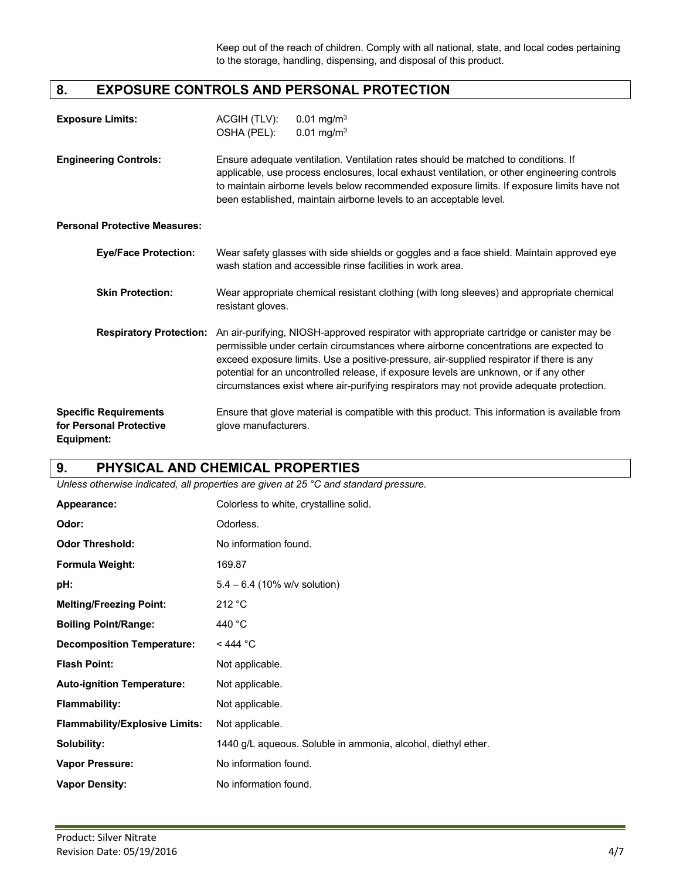# **8. EXPOSURE CONTROLS AND PERSONAL PROTECTION**

| <b>Exposure Limits:</b>      | ACGIH (TLV):<br>OSHA (PEL): | 0.01 mg/m <sup>3</sup><br>$0.01 \text{ mg/m}^3$                                                                                                                                                                                                                                                                                                        |
|------------------------------|-----------------------------|--------------------------------------------------------------------------------------------------------------------------------------------------------------------------------------------------------------------------------------------------------------------------------------------------------------------------------------------------------|
| <b>Engineering Controls:</b> |                             | Ensure adequate ventilation. Ventilation rates should be matched to conditions. If<br>applicable, use process enclosures, local exhaust ventilation, or other engineering controls<br>to maintain airborne levels below recommended exposure limits. If exposure limits have not<br>been established, maintain airborne levels to an acceptable level. |

**Personal Protective Measures:**

| <b>Eye/Face Protection:</b>                                           | Wear safety glasses with side shields or goggles and a face shield. Maintain approved eye<br>wash station and accessible rinse facilities in work area.                                                                                                                                                                                                                                                                                                              |  |
|-----------------------------------------------------------------------|----------------------------------------------------------------------------------------------------------------------------------------------------------------------------------------------------------------------------------------------------------------------------------------------------------------------------------------------------------------------------------------------------------------------------------------------------------------------|--|
| <b>Skin Protection:</b>                                               | Wear appropriate chemical resistant clothing (with long sleeves) and appropriate chemical<br>resistant gloves.                                                                                                                                                                                                                                                                                                                                                       |  |
| <b>Respiratory Protection:</b>                                        | An air-purifying, NIOSH-approved respirator with appropriate cartridge or canister may be<br>permissible under certain circumstances where airborne concentrations are expected to<br>exceed exposure limits. Use a positive-pressure, air-supplied respirator if there is any<br>potential for an uncontrolled release, if exposure levels are unknown, or if any other<br>circumstances exist where air-purifying respirators may not provide adequate protection. |  |
| <b>Specific Requirements</b><br>for Personal Protective<br>Equipment: | Ensure that glove material is compatible with this product. This information is available from<br>glove manufacturers.                                                                                                                                                                                                                                                                                                                                               |  |

# **9. PHYSICAL AND CHEMICAL PROPERTIES**

*Unless otherwise indicated, all properties are given at 25 °C and standard pressure.*

| Appearance:                           | Colorless to white, crystalline solid.                        |  |  |
|---------------------------------------|---------------------------------------------------------------|--|--|
| Odor:                                 | Odorless.                                                     |  |  |
| <b>Odor Threshold:</b>                | No information found.                                         |  |  |
| <b>Formula Weight:</b>                | 169.87                                                        |  |  |
| pH:                                   | $5.4 - 6.4$ (10% w/v solution)                                |  |  |
| <b>Melting/Freezing Point:</b>        | 212 °C                                                        |  |  |
| <b>Boiling Point/Range:</b>           | 440 °C                                                        |  |  |
| <b>Decomposition Temperature:</b>     | $<$ 444 °C                                                    |  |  |
| <b>Flash Point:</b>                   | Not applicable.                                               |  |  |
| <b>Auto-ignition Temperature:</b>     | Not applicable.                                               |  |  |
| <b>Flammability:</b>                  | Not applicable.                                               |  |  |
| <b>Flammability/Explosive Limits:</b> | Not applicable.                                               |  |  |
| Solubility:                           | 1440 g/L aqueous. Soluble in ammonia, alcohol, diethyl ether. |  |  |
| <b>Vapor Pressure:</b>                | No information found.                                         |  |  |
| <b>Vapor Density:</b>                 | No information found.                                         |  |  |
|                                       |                                                               |  |  |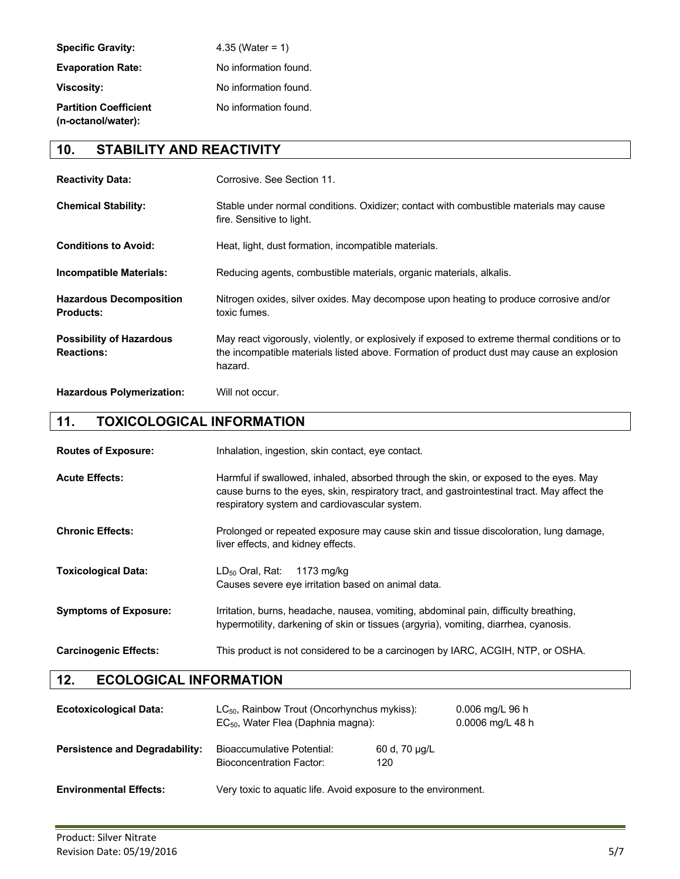| <b>Specific Gravity:</b>                           | 4.35 (Water = 1)      |
|----------------------------------------------------|-----------------------|
| <b>Evaporation Rate:</b>                           | No information found. |
| <b>Viscosity:</b>                                  | No information found. |
| <b>Partition Coefficient</b><br>(n-octanol/water): | No information found. |

# **10. STABILITY AND REACTIVITY**

| <b>Reactivity Data:</b>                              | Corrosive. See Section 11.                                                                                                                                                                             |
|------------------------------------------------------|--------------------------------------------------------------------------------------------------------------------------------------------------------------------------------------------------------|
| <b>Chemical Stability:</b>                           | Stable under normal conditions. Oxidizer; contact with combustible materials may cause<br>fire. Sensitive to light.                                                                                    |
| <b>Conditions to Avoid:</b>                          | Heat, light, dust formation, incompatible materials.                                                                                                                                                   |
| Incompatible Materials:                              | Reducing agents, combustible materials, organic materials, alkalis.                                                                                                                                    |
| <b>Hazardous Decomposition</b><br><b>Products:</b>   | Nitrogen oxides, silver oxides. May decompose upon heating to produce corrosive and/or<br>toxic fumes.                                                                                                 |
| <b>Possibility of Hazardous</b><br><b>Reactions:</b> | May react vigorously, violently, or explosively if exposed to extreme thermal conditions or to<br>the incompatible materials listed above. Formation of product dust may cause an explosion<br>hazard. |
| <b>Hazardous Polymerization:</b>                     | Will not occur.                                                                                                                                                                                        |

# **11. TOXICOLOGICAL INFORMATION**

| <b>Routes of Exposure:</b>   | Inhalation, ingestion, skin contact, eye contact.                                                                                                                                                                                      |
|------------------------------|----------------------------------------------------------------------------------------------------------------------------------------------------------------------------------------------------------------------------------------|
| <b>Acute Effects:</b>        | Harmful if swallowed, inhaled, absorbed through the skin, or exposed to the eyes. May<br>cause burns to the eyes, skin, respiratory tract, and gastrointestinal tract. May affect the<br>respiratory system and cardiovascular system. |
| <b>Chronic Effects:</b>      | Prolonged or repeated exposure may cause skin and tissue discoloration, lung damage,<br>liver effects, and kidney effects.                                                                                                             |
| <b>Toxicological Data:</b>   | $LD_{50}$ Oral, Rat:<br>1173 mg/kg<br>Causes severe eye irritation based on animal data.                                                                                                                                               |
| <b>Symptoms of Exposure:</b> | Irritation, burns, headache, nausea, vomiting, abdominal pain, difficulty breathing,<br>hypermotility, darkening of skin or tissues (argyria), vomiting, diarrhea, cyanosis.                                                           |
| <b>Carcinogenic Effects:</b> | This product is not considered to be a carcinogen by IARC, ACGIH, NTP, or OSHA.                                                                                                                                                        |

# **12. ECOLOGICAL INFORMATION**

| <b>Ecotoxicological Data:</b>         | $LC_{50}$ , Rainbow Trout (Oncorhynchus mykiss):<br>EC <sub>50</sub> , Water Flea (Daphnia magna): |                      | $0.006$ mg/L 96 h<br>0.0006 mg/L 48 h |
|---------------------------------------|----------------------------------------------------------------------------------------------------|----------------------|---------------------------------------|
| <b>Persistence and Degradability:</b> | Bioaccumulative Potential:<br><b>Bioconcentration Factor:</b>                                      | 60 d, 70 ug/L<br>120 |                                       |
| <b>Environmental Effects:</b>         | Very toxic to aquatic life. Avoid exposure to the environment.                                     |                      |                                       |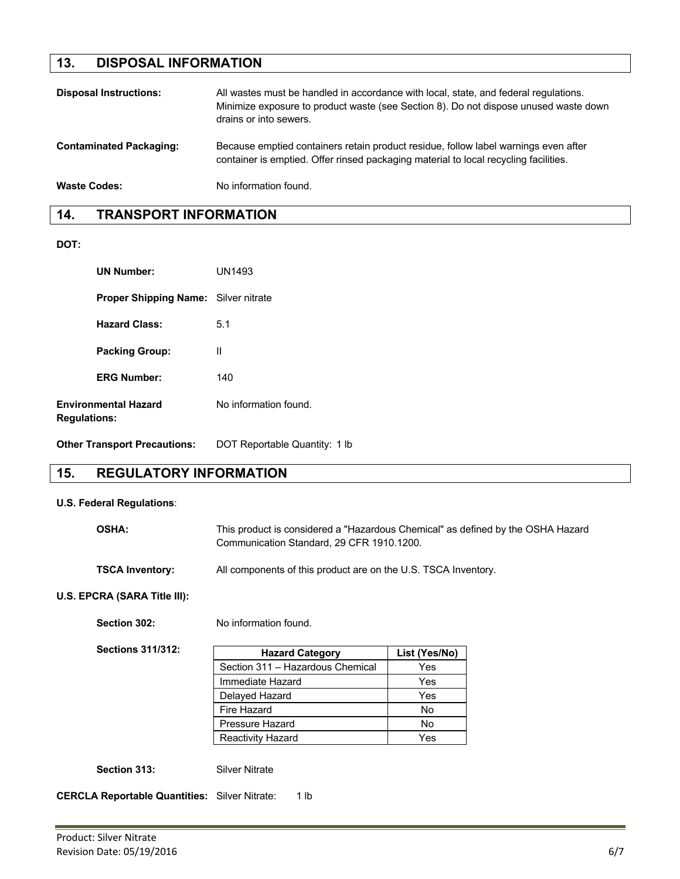# **13. DISPOSAL INFORMATION**

| <b>Disposal Instructions:</b>  | All wastes must be handled in accordance with local, state, and federal regulations.<br>Minimize exposure to product waste (see Section 8). Do not dispose unused waste down<br>drains or into sewers. |
|--------------------------------|--------------------------------------------------------------------------------------------------------------------------------------------------------------------------------------------------------|
| <b>Contaminated Packaging:</b> | Because emptied containers retain product residue, follow label warnings even after<br>container is emptied. Offer rinsed packaging material to local recycling facilities.                            |
| <b>Waste Codes:</b>            | No information found.                                                                                                                                                                                  |

# **14. TRANSPORT INFORMATION**

**DOT:**

| <b>UN Number:</b>                                  | UN1493                |
|----------------------------------------------------|-----------------------|
| <b>Proper Shipping Name:</b> Silver nitrate        |                       |
| <b>Hazard Class:</b>                               | 5.1                   |
| <b>Packing Group:</b>                              | Ш                     |
| <b>ERG Number:</b>                                 | 140                   |
| <b>Environmental Hazard</b><br><b>Regulations:</b> | No information found. |

**Other Transport Precautions:** DOT Reportable Quantity: 1 lb

# **15. REGULATORY INFORMATION**

### **U.S. Federal Regulations**:

| <b>OSHA:</b>           | This product is considered a "Hazardous Chemical" as defined by the OSHA Hazard<br>Communication Standard, 29 CFR 1910, 1200. |
|------------------------|-------------------------------------------------------------------------------------------------------------------------------|
| <b>TSCA Inventory:</b> | All components of this product are on the U.S. TSCA Inventory.                                                                |

## **U.S. EPCRA (SARA Title III):**

Section 302: No information found.

**Sections 311/312:**

| <b>Hazard Category</b>           | List (Yes/No) |
|----------------------------------|---------------|
| Section 311 - Hazardous Chemical | Yes           |
| Immediate Hazard                 | Yes           |
| Delayed Hazard                   | Yes           |
| Fire Hazard                      | No            |
| Pressure Hazard                  | No            |
| <b>Reactivity Hazard</b>         | Yes           |

Section 313: Silver Nitrate

**CERCLA Reportable Quantities:** Silver Nitrate: 1 lb